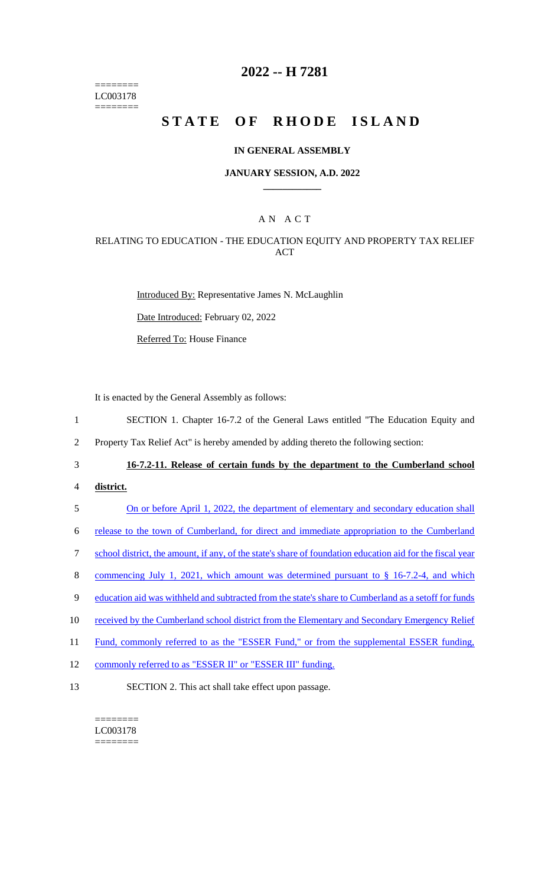======== LC003178 ========

## **2022 -- H 7281**

# **STATE OF RHODE ISLAND**

#### **IN GENERAL ASSEMBLY**

#### **JANUARY SESSION, A.D. 2022 \_\_\_\_\_\_\_\_\_\_\_\_**

## A N A C T

#### RELATING TO EDUCATION - THE EDUCATION EQUITY AND PROPERTY TAX RELIEF ACT

Introduced By: Representative James N. McLaughlin

Date Introduced: February 02, 2022

Referred To: House Finance

It is enacted by the General Assembly as follows:

1 SECTION 1. Chapter 16-7.2 of the General Laws entitled "The Education Equity and

2 Property Tax Relief Act" is hereby amended by adding thereto the following section:

## 3 **16-7.2-11. Release of certain funds by the department to the Cumberland school**

4 **district.** 

5 On or before April 1, 2022, the department of elementary and secondary education shall

6 release to the town of Cumberland, for direct and immediate appropriation to the Cumberland

7 school district, the amount, if any, of the state's share of foundation education aid for the fiscal year

8 commencing July 1, 2021, which amount was determined pursuant to § 16-7.2-4, and which

- 9 education aid was withheld and subtracted from the state's share to Cumberland as a setoff for funds
- 10 received by the Cumberland school district from the Elementary and Secondary Emergency Relief
- 11 Fund, commonly referred to as the "ESSER Fund," or from the supplemental ESSER funding,
- 12 commonly referred to as "ESSER II" or "ESSER III" funding.
- 13 SECTION 2. This act shall take effect upon passage.

======== LC003178 ========